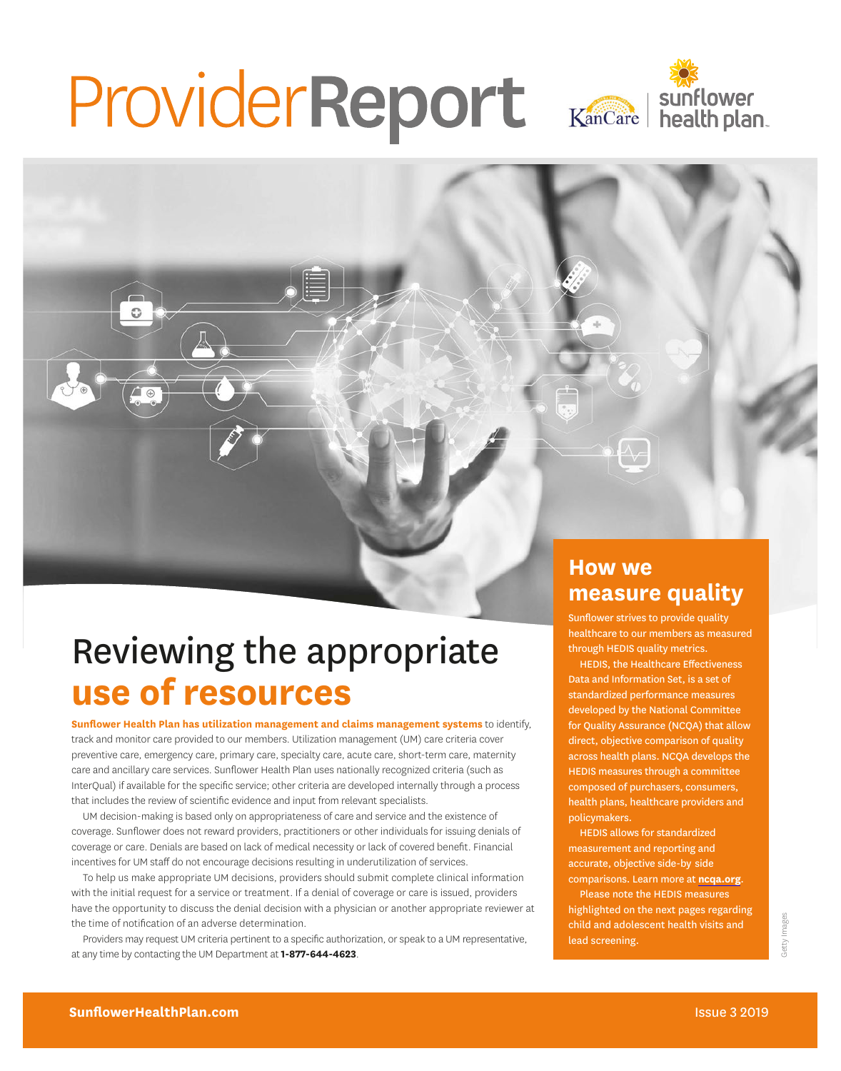# ProviderReport Kancare | sunflower



## Reviewing the appropriate **use of resources**

**Sunflower Health Plan has utilization management and claims management systems** to identify, track and monitor care provided to our members. Utilization management (UM) care criteria cover preventive care, emergency care, primary care, specialty care, acute care, short-term care, maternity care and ancillary care services. Sunflower Health Plan uses nationally recognized criteria (such as InterQual) if available for the specific service; other criteria are developed internally through a process that includes the review of scientific evidence and input from relevant specialists.

UM decision-making is based only on appropriateness of care and service and the existence of coverage. Sunflower does not reward providers, practitioners or other individuals for issuing denials of coverage or care. Denials are based on lack of medical necessity or lack of covered benefit. Financial incentives for UM staff do not encourage decisions resulting in underutilization of services.

To help us make appropriate UM decisions, providers should submit complete clinical information with the initial request for a service or treatment. If a denial of coverage or care is issued, providers have the opportunity to discuss the denial decision with a physician or another appropriate reviewer at the time of notification of an adverse determination.

Providers may request UM criteria pertinent to a specific authorization, or speak to a UM representative, at any time by contacting the UM Department at **1-877-644-4623**.

#### **How we measure quality**

Sunflower strives to provide quality healthcare to our members as measured through HEDIS quality metrics.

HEDIS, the Healthcare Effectiveness Data and Information Set, is a set of standardized performance measures developed by the National Committee for Quality Assurance (NCQA) that allow direct, objective comparison of quality across health plans. NCQA develops the HEDIS measures through a committee composed of purchasers, consumers, health plans, healthcare providers and policymakers.

accurate, objective side-by side HEDIS allows for standardized measurement and reporting and comparisons. Learn more at **[ncqa.org](http://www.ncqa.org)**.

Please note the HEDIS measures highlighted on the next pages regarding child and adolescent health visits and lead screening.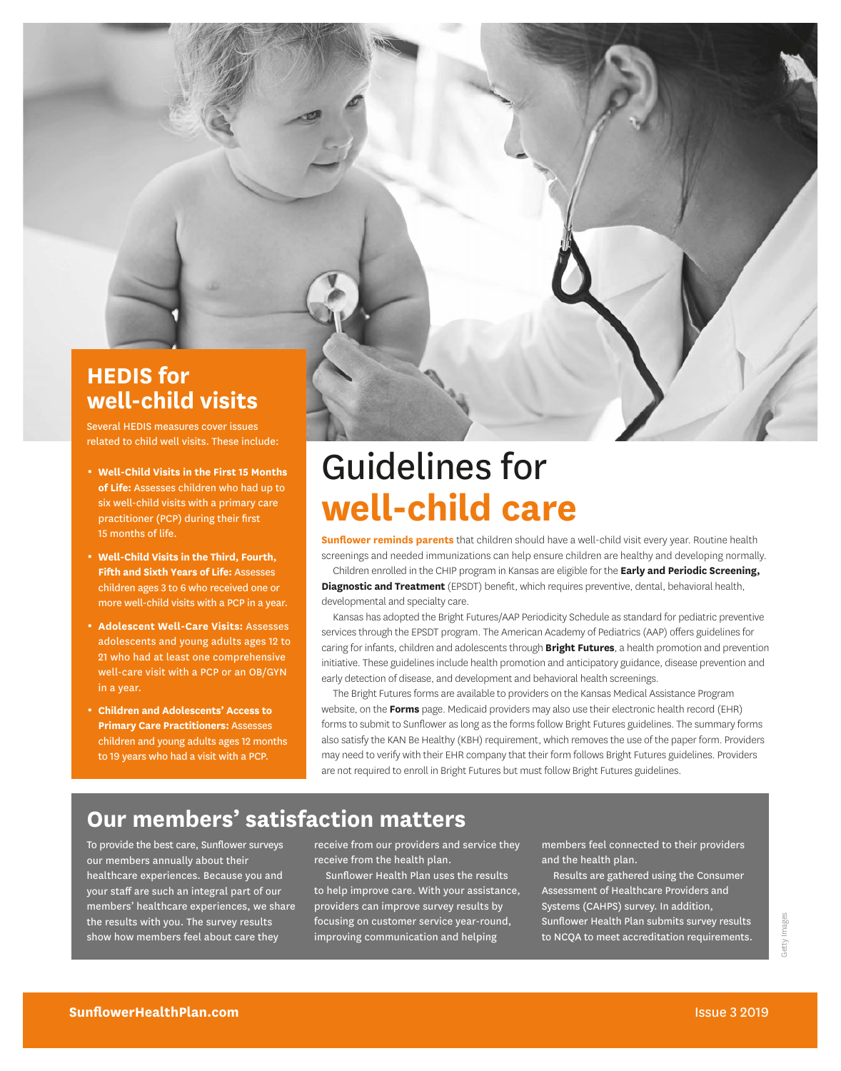#### **HEDIS for well-child visits**

Several HEDIS measures cover issues related to child well visits. These include:

- 0 **Well-Child Visits in the First 15 Months of Life:** Assesses children who had up to six well-child visits with a primary care practitioner (PCP) during their first 15 months of life.
- 0 **Well-Child Visits in the Third, Fourth, Fifth and Sixth Years of Life:** Assesses children ages 3 to 6 who received one or more well-child visits with a PCP in a year.
- **B. Adolescent Well-Care Visits: Assesses** adolescents and young adults ages 12 to 21 who had at least one comprehensive well-care visit with a PCP or an OB/GYN in a year.
- 0 **Children and Adolescents' Access to Primary Care Practitioners:** Assesses children and young adults ages 12 months to 19 years who had a visit with a PCP.

## Guidelines for **well-child care**

**Sunflower reminds parents** that children should have a well-child visit every year. Routine health screenings and needed immunizations can help ensure children are healthy and developing normally.

Children enrolled in the CHIP program in Kansas are eligible for the **Early and Periodic Screening, Diagnostic and Treatment** (EPSDT) benefit, which requires preventive, dental, behavioral health, developmental and specialty care.

Kansas has adopted the Bright Futures/AAP Periodicity Schedule as standard for pediatric preventive services through the EPSDT program. The American Academy of Pediatrics (AAP) offers guidelines for caring for infants, children and adolescents through **Bright Futures**, a health promotion and prevention initiative. These guidelines include health promotion and anticipatory guidance, disease prevention and early detection of disease, and development and behavioral health screenings.

The Bright Futures forms are available to providers on the Kansas Medical Assistance Program website, on the **Forms** page. Medicaid providers may also use their electronic health record (EHR) forms to submit to Sunflower as long as the forms follow Bright Futures guidelines. The summary forms also satisfy the KAN Be Healthy (KBH) requirement, which removes the use of the paper form. Providers may need to verify with their EHR company that their form follows Bright Futures guidelines. Providers are not required to enroll in Bright Futures but must follow Bright Futures guidelines.

#### **Our members' satisfaction matters**

To provide the best care, Sunflower surveys our members annually about their healthcare experiences. Because you and your staff are such an integral part of our members' healthcare experiences, we share the results with you. The survey results show how members feel about care they

receive from our providers and service they receive from the health plan.

Sunflower Health Plan uses the results to help improve care. With your assistance, providers can improve survey results by focusing on customer service year-round, improving communication and helping

members feel connected to their providers and the health plan.

Results are gathered using the Consumer Assessment of Healthcare Providers and Systems (CAHPS) survey. In addition, Sunflower Health Plan submits survey results to NCQA to meet accreditation requirements.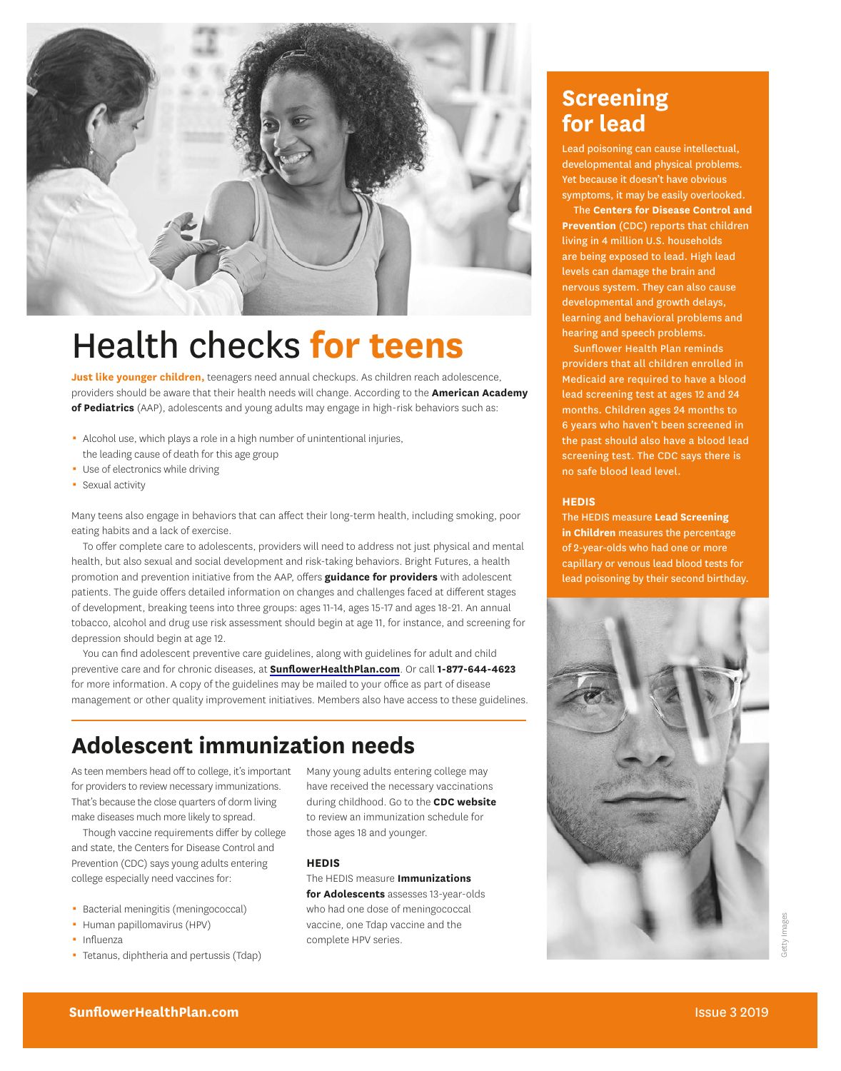

## Health checks **for teens**

**Just like younger children,** teenagers need annual checkups. As children reach adolescence, providers should be aware that their health needs will change. According to the **American Academy of Pediatrics** (AAP), adolescents and young adults may engage in high-risk behaviors such as:

- Alcohol use, which plays a role in a high number of unintentional injuries, the leading cause of death for this age group
- **Use of electronics while driving**
- Sexual activity

Many teens also engage in behaviors that can affect their long-term health, including smoking, poor eating habits and a lack of exercise.

To offer complete care to adolescents, providers will need to address not just physical and mental health, but also sexual and social development and risk-taking behaviors. Bright Futures, a health promotion and prevention initiative from the AAP, offers **guidance for providers** with adolescent patients. The guide offers detailed information on changes and challenges faced at different stages of development, breaking teens into three groups: ages 11-14, ages 15-17 and ages 18-21. An annual tobacco, alcohol and drug use risk assessment should begin at age 11, for instance, and screening for depression should begin at age 12.

You can find adolescent preventive care guidelines, along with guidelines for adult and child preventive care and for chronic diseases, at **[SunflowerHealthPlan.com](http://www.SunflowerHealthPlan.com)**. Or call **1-877-644-4623**  for more information. A copy of the guidelines may be mailed to your office as part of disease management or other quality improvement initiatives. Members also have access to these guidelines.

#### **Adolescent immunization needs**

As teen members head off to college, it's important for providers to review necessary immunizations. That's because the close quarters of dorm living make diseases much more likely to spread.

Though vaccine requirements differ by college and state, the Centers for Disease Control and Prevention (CDC) says young adults entering college especially need vaccines for:

- **Bacterial meningitis (meningococcal)**
- Human papillomavirus (HPV)
- · Influenza
- Tetanus, diphtheria and pertussis (Tdap)

Many young adults entering college may have received the necessary vaccinations during childhood. Go to the **CDC website**  to review an immunization schedule for those ages 18 and younger.

#### **HEDIS**

The HEDIS measure **Immunizations for Adolescents** assesses 13-year-olds who had one dose of meningococcal vaccine, one Tdap vaccine and the complete HPV series.

#### **Screening for lead**

Lead poisoning can cause intellectual, developmental and physical problems. Yet because it doesn't have obvious symptoms, it may be easily overlooked.

The **Centers for Disease Control and Prevention** (CDC) reports that children living in 4 million U.S. households are being exposed to lead. High lead levels can damage the brain and nervous system. They can also cause developmental and growth delays, learning and behavioral problems and hearing and speech problems.

Sunflower Health Plan reminds providers that all children enrolled in Medicaid are required to have a blood lead screening test at ages 12 and 24 months. Children ages 24 months to 6 years who haven't been screened in the past should also have a blood lead screening test. The CDC says there is no safe blood lead level.

#### **HEDIS**

The HEDIS measure **Lead Screening in Children** measures the percentage of 2-year-olds who had one or more capillary or venous lead blood tests for lead poisoning by their second birthday.

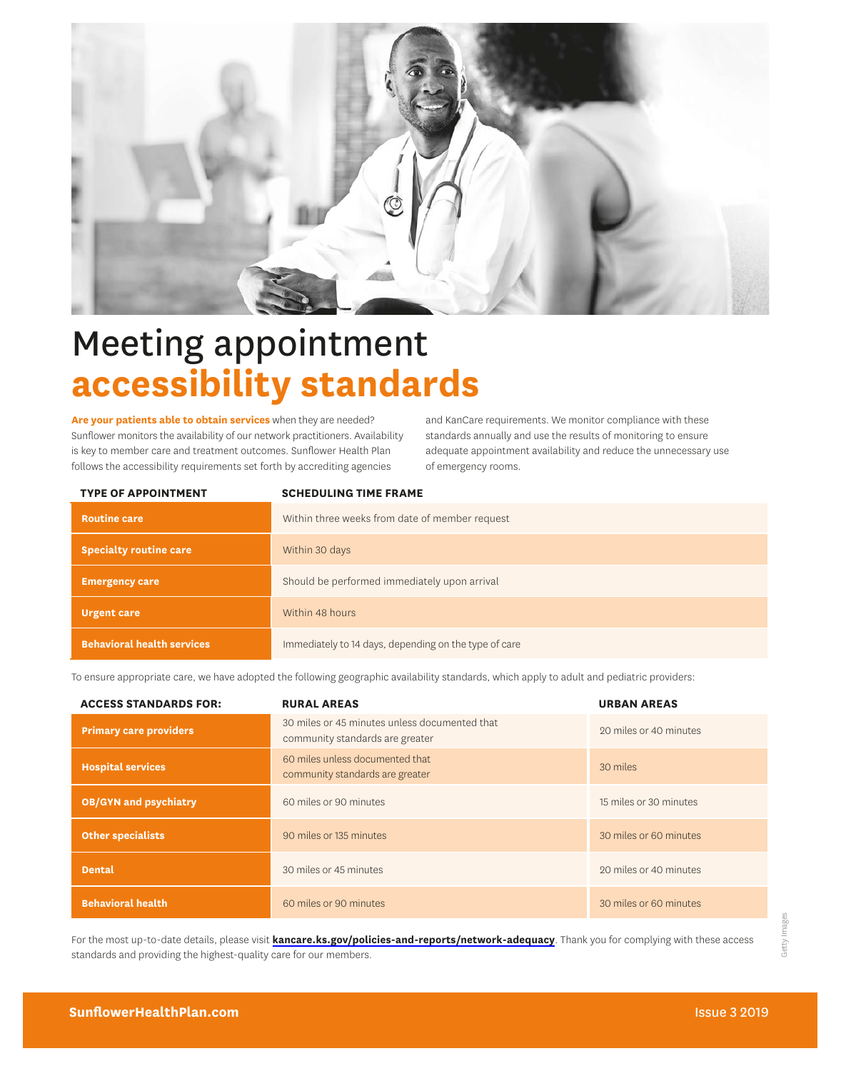

## Meeting appointment **accessibility standards**

**Are your patients able to obtain services** when they are needed? Sunflower monitors the availability of our network practitioners. Availability is key to member care and treatment outcomes. Sunflower Health Plan follows the accessibility requirements set forth by accrediting agencies

and KanCare requirements. We monitor compliance with these standards annually and use the results of monitoring to ensure adequate appointment availability and reduce the unnecessary use of emergency rooms.

| <b>TYPE OF APPOINTMENT</b>        | <b>SCHEDULING TIME FRAME</b>                          |
|-----------------------------------|-------------------------------------------------------|
| <b>Routine care</b>               | Within three weeks from date of member request        |
| <b>Specialty routine care</b>     | Within 30 days                                        |
| <b>Emergency care</b>             | Should be performed immediately upon arrival          |
| <b>Urgent care</b>                | Within 48 hours                                       |
| <b>Behavioral health services</b> | Immediately to 14 days, depending on the type of care |

To ensure appropriate care, we have adopted the following geographic availability standards, which apply to adult and pediatric providers:

| <b>ACCESS STANDARDS FOR:</b>  | <b>RURAL AREAS</b>                                                               | <b>URBAN AREAS</b>     |
|-------------------------------|----------------------------------------------------------------------------------|------------------------|
| <b>Primary care providers</b> | 30 miles or 45 minutes unless documented that<br>community standards are greater | 20 miles or 40 minutes |
| <b>Hospital services</b>      | 60 miles unless documented that<br>community standards are greater               | 30 miles               |
| <b>OB/GYN and psychiatry</b>  | 60 miles or 90 minutes                                                           | 15 miles or 30 minutes |
| <b>Other specialists</b>      | 90 miles or 135 minutes                                                          | 30 miles or 60 minutes |
| <b>Dental</b>                 | 30 miles or 45 minutes                                                           | 20 miles or 40 minutes |
| <b>Behavioral health</b>      | 60 miles or 90 minutes                                                           | 30 miles or 60 minutes |

For the most up-to-date details, please visit **[kancare.ks.gov/policies-and-reports/network-adequacy](http://kancare.ks.gov/policies-and-reports/network-adequacy)**. Thank you for complying with these access standards and providing the highest-quality care for our members.